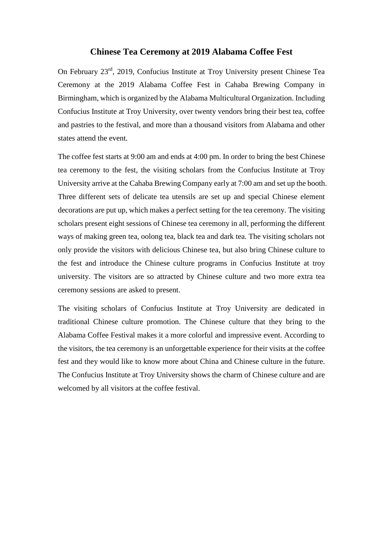## **Chinese Tea Ceremony at 2019 Alabama Coffee Fest**

On February 23rd, 2019, Confucius Institute at Troy University present Chinese Tea Ceremony at the 2019 Alabama Coffee Fest in Cahaba Brewing Company in Birmingham, which is organized by the Alabama Multicultural Organization. Including Confucius Institute at Troy University, over twenty vendors bring their best tea, coffee and pastries to the festival, and more than a thousand visitors from Alabama and other states attend the event.

The coffee fest starts at 9:00 am and ends at 4:00 pm. In order to bring the best Chinese tea ceremony to the fest, the visiting scholars from the Confucius Institute at Troy University arrive at the Cahaba Brewing Company early at 7:00 am and set up the booth. Three different sets of delicate tea utensils are set up and special Chinese element decorations are put up, which makes a perfect setting for the tea ceremony. The visiting scholars present eight sessions of Chinese tea ceremony in all, performing the different ways of making green tea, oolong tea, black tea and dark tea. The visiting scholars not only provide the visitors with delicious Chinese tea, but also bring Chinese culture to the fest and introduce the Chinese culture programs in Confucius Institute at troy university. The visitors are so attracted by Chinese culture and two more extra tea ceremony sessions are asked to present.

The visiting scholars of Confucius Institute at Troy University are dedicated in traditional Chinese culture promotion. The Chinese culture that they bring to the Alabama Coffee Festival makes it a more colorful and impressive event. According to the visitors, the tea ceremony is an unforgettable experience for their visits at the coffee fest and they would like to know more about China and Chinese culture in the future. The Confucius Institute at Troy University shows the charm of Chinese culture and are welcomed by all visitors at the coffee festival.